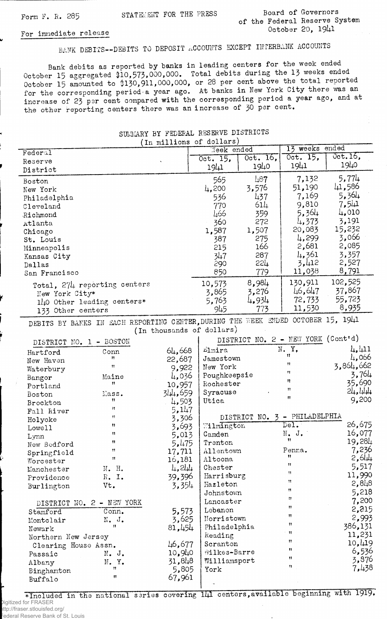Form F. R. 285 STATEMENT FOR THE PRESS Board of Governors of the Federal Reserve System October 20. 1941

## For immediate release

Passaic N. J.<br>Albany N. Y.<br>Pingharton "

 $Binghanton$   $''$ 

Albany

Buffalo

BANK DEBITS— DEBITS TO DEPOSIT ACCOUNTS EXCEPT INTERBANK ACCOUNTS

Bank debits as reported by banks in leading centers for the week ended October 15 aggregated  $10,573,000,000$ . Total debits during the 13 weeks ended October 15 amounted to \$130,911,000,000, or 28 per cent above the total reported for the corresponding period-a year ago. At banks in New York City there was an increase of 23 per cent compared with the corresponding period a year ago, and at the other reporting centers there was an increase of  $\overline{50}$  per cent.

| (In millions of dollars)  |                                                                                  |         |                               |                 |                                    |            |
|---------------------------|----------------------------------------------------------------------------------|---------|-------------------------------|-----------------|------------------------------------|------------|
| Federal                   |                                                                                  |         | Neek ended                    |                 | 13 weeks ended                     |            |
| Reserve                   |                                                                                  |         | Oct. 15,                      | $0$ ct. 16.     | Oct. 15,                           | $0ct.16$ , |
| District                  |                                                                                  |         | 1941                          | 1940            | 1941                               | 1940       |
| Boston                    |                                                                                  |         | 565                           | $\perp 87$      | 7,132                              | 5,774      |
| New York                  |                                                                                  |         | 4,200                         | 3,576           | 51,190                             | 41,586     |
| Philadelphia              |                                                                                  |         | 536                           | 437             | 7,169                              | 5,364      |
| Cleveland                 |                                                                                  |         | 770                           | 614             | 9,810                              | 7,541      |
|                           |                                                                                  |         | 466                           | 359             | 5,364                              | 4,010      |
| Richmond                  |                                                                                  |         | 360                           | 272             | 4,373                              | 3,191      |
| Atlanta                   |                                                                                  |         | 1,587                         | 1,507           | 20,083                             | 15,232     |
| Chicago                   |                                                                                  |         |                               |                 | 4,299                              | 3,066      |
| St. Louis                 |                                                                                  |         | 387                           | 275<br>166      | 2,681                              | 2,085      |
| Minneapolis               |                                                                                  |         | 215                           |                 | 1,361                              |            |
| Kansas City               |                                                                                  |         | 347                           | 287             |                                    | 3,357      |
| Dallas                    |                                                                                  |         | 290                           | 22 <sub>4</sub> | 3,412                              | 2,527      |
| San Francisco             |                                                                                  |         | 850                           | 779             | 11,038                             | 8,791      |
|                           | Total, 274 reporting centers                                                     |         | 10,573                        | 8,984           | 130,911                            | 102,525    |
| New York City*            |                                                                                  |         | 3,865                         | 3,276           | 46,647                             | 37,867     |
|                           | 140 Other leading centers*                                                       |         | 5,763                         | 4,934           | 72,733                             | 55,723     |
| 133 Other centers         |                                                                                  |         | 945                           | 773             | 11,530                             | 8,935      |
|                           | DEBITS BY BANKS IN EACH REPORTING CENTER, DURING THE WEEK ENDED OCTOBER 15, 1941 |         |                               |                 |                                    |            |
|                           |                                                                                  |         | (In thousands of dollars)     |                 |                                    |            |
|                           |                                                                                  |         |                               |                 | DISTRICT NO. 2 - NEW YORK (Cont'd) |            |
| DISTRICT NO. 1 - BOSTON   |                                                                                  |         |                               |                 | N. Y.                              | 4,411      |
| Hartford                  | Conn<br>Ħ                                                                        | 64,668  | Elmira<br>Jamestown           |                 | n                                  | 4,066      |
| New Haven                 | Ħ                                                                                | 22,687  | New York                      |                 | n                                  | 3,864,662  |
| Waterbury                 |                                                                                  | 9,922   |                               |                 | Ħ                                  | 3,764      |
| Bangor                    | Maine                                                                            | 4,036   | Poughkeepsie                  |                 | n                                  | 35,690     |
| Portland                  | Ħ                                                                                | 10,957  | Rochester                     |                 | $\boldsymbol{\mathfrak{m}}$        | 24,444     |
| Boston                    | Mass.                                                                            | 344,659 | Syracuse                      |                 | $\mathbf{H}$                       |            |
| Brockton                  | Ħ                                                                                | 4,503   | Utica                         |                 |                                    | 9,200      |
| Fall River                | Ħ                                                                                | 5,147   |                               |                 |                                    |            |
| Holyoke                   | Ħ                                                                                | 3,306   | DISTRICT NO. 3 - PHILADELPHIA |                 |                                    |            |
| Lowell                    | n                                                                                | 3,693   | Wilmington                    |                 | Del.                               | 26,675     |
| Lynn                      | n                                                                                | 5,013   | Camden                        |                 | $N$ . J.<br>Ħ                      | 16,077     |
| New Bedford               | 11                                                                               | 5,475   | Trenton                       |                 |                                    | 19,284     |
| Springfield               | 11                                                                               | 17,711  | Allentown                     |                 | Penna.<br>Ħ                        | 7,236      |
| Worcester                 | Ħ                                                                                | 16,181  | Altoona                       |                 | $\pmb{\mathsf{1}}$                 | 2,644      |
| Manchester                | N. H.                                                                            | 4,244   | Chester                       |                 | 11                                 | 5,517      |
| Providence                | $R_{\bullet}$ I.                                                                 | 39,396  | Harrisburg                    |                 |                                    | 11,990     |
| Burlington                | Vt.                                                                              | 3,354   | Hazleton                      |                 | Ħ                                  | 2,848      |
|                           |                                                                                  |         | Johnstown                     |                 | n                                  | 5,218      |
| DISTRICT NO. 2 - NEW YORK |                                                                                  |         | Lancaster                     |                 | Ħ                                  | 7,200      |
| Stamford                  | $Conn_{\bullet}$                                                                 | 5,573   | Lebanon                       |                 | 11                                 | 2,215      |
| Montclair                 | $N•$ J.                                                                          | 3,625   | Norristown                    |                 | Ħ                                  | 2,993      |
| Newark                    | $\pmb{\mathfrak{h}}$                                                             | 81,454  | Philadelphia                  |                 | Ħ                                  | 386,131    |
| Northern New Jersey       |                                                                                  | Reading |                               | - 11            | 11,231                             |            |
| Clearing House Assn.      |                                                                                  | 46,677  | Scranton                      |                 | 11                                 | 10, 419    |

## SUMMARY BY FEDERAL RESERVE DISTRICTS

\*Included in the national series covering 141 centers, available beginning with 1919. Digitized for FRASER http://fraser.stlouisfed.org/ Federal Reserve Bank of St. Louis

10,91+0 31,81+8 5,805 67,961

Wilkes-Barre Williamsport

 $\mathbf{u}$  $\mathbf{H}^{\dagger}$  $\boldsymbol{n}$ 

6,536 3,876 7,1+38

York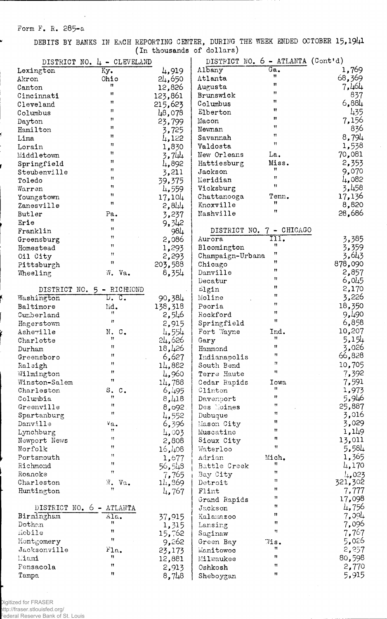## Form F. R. 285-a

V

 $\overline{\phantom{a}}$ 

DEBITS BY BANKS IN EACH REPORTING CENTER, DURING THE WEEK ENDED OCTOBER 15,1941 of dollars)

|                          | DISTRICT NO. 4 - CLEVELAND |         | DISTRICT NO. 6 - ATLANTA (Cont'd) |                          |         |
|--------------------------|----------------------------|---------|-----------------------------------|--------------------------|---------|
| Lexington                | Ky.                        | 4,919   | Albany                            | Ga.                      | 1,769   |
| Akron                    | Ohio                       | 24,650  | Atlanta                           | Ħ                        | 68,369  |
| Canton                   | n                          | 12,826  | Augusta                           | 11                       | 7,464   |
| Cincinnati               | $\mathbf{H}$               | 123,861 | Brunswick                         | Ħ                        | 837     |
| Cleveland                | $^{\prime\prime}$          | 215,623 | Columbus                          | Ħ                        | 6,884   |
| Columbus                 | Ħ                          |         | Elberton                          | Ħ                        | 435     |
|                          | $^{\bullet}$               | 48,078  |                                   | Ħ                        | 7,156   |
| Dayton                   | $\mathbf{H}$               | 23,799  | Macon                             | Ħ                        |         |
| Hamilton                 | 11                         | 3,725   | Newnan                            | Ħ                        | 836     |
| Lima                     | n                          | 4,122   | Savannah                          | Ħ                        | 8,794   |
| Lorain                   |                            | 1,830   | Valdosta                          |                          | 1,538   |
| Middletown               | Ħ                          | 3,744   | New Orleans                       | La.                      | 70,081  |
| Springfield              | $^{\bullet}$               | 4,892   | Hattiesburg                       | Miss.                    | 2,353   |
| Steubenville             | Ħ                          | 3,211   | Jackson                           | 11                       | 9,070   |
| Toledo                   | Ħ                          | 39,375  | Meridian                          | 11                       | 4,082   |
| Warren                   | 11                         | 4,559   | Vicksburg                         | Ħ                        | 3,458   |
| Youngstown               | Ħ                          | 17,104  | Chattanooga                       | Tenn.                    | 17,136  |
| Zanesville               | 11                         | 2,844   | Knoxville                         | Ħ                        | 8,820   |
| Butler                   | Pa.                        | 3,237   | Nashville                         | Ħ                        | 28,686  |
| Erie                     | Ħ                          | 9,342   |                                   |                          |         |
| Franklin                 | 11                         | 984     |                                   | DISTRICT NO. 7 - CHICAGO |         |
| Greensburg               | Ħ                          | 2,086   | Aurora                            | TII.                     | 3,385   |
| Homestead                | Ħ                          | 1,293   | Bloomington                       | 11                       | 3,359   |
|                          | $^{\dagger}$               | 2,293   | Champaign-Urbana                  | Ħ                        | 3,643   |
| Oil City                 | n                          |         |                                   | Ħ                        | 878,090 |
| Pittsburgh               |                            | 203,588 | Chicago                           | n                        |         |
| Wheeling                 | W.<br>Va.                  | 8,354   | Danville                          | Ħ                        | 2,857   |
|                          |                            |         | Decatur                           | n                        | 6,045   |
| DISTRICT NO.             | 5 - RICHMOND               |         | rlgin                             | Ħ                        | 2,170   |
| Washington               | <u>n. c.</u>               | 90,384  | Moline                            | $^{\dagger}$             | 3,226   |
| Baltimore                | Md.                        | 138,318 | Peoria                            | Ħ                        | 18,350  |
| Cumberland               | 11                         | 4,546   | Rockford                          |                          | 9,490   |
| Hagerstown               | n                          | 2,915   | Springfield                       | Ħ                        | 6,858   |
| Asheville                | Ν.<br>$\mathbb{C}$ .       | 4,554   | Fort Wayne                        | Ind.                     | 10,207  |
| Charlotte                | 11                         | 24,626  | Gary                              | Ħ                        | 5,154   |
| Durham                   | Ħ                          | 18,426  | Hammond                           | $\mathbf{H}$             | 3,026   |
| Greensboro               | $\mathbf{H}$               | 6,627   | Indianapolis                      | 11                       | 66,828  |
| Raleigh                  | n                          | 14,882  | South Bend                        | 11                       | 10,705  |
| Wilmington               | Ħ                          | 4,960   | Terre Haute                       | $\pmb{\mathfrak{m}}$     | 7,392   |
| Winston-Salem            | Ħ                          | 14,788  | Cedar Rapids                      | Iowa                     | 7,591   |
| Charleston               | S. C.                      | 6,495   | Clinton                           | Ħ                        | 1,973   |
| Columbia                 | Ħ                          | 8,418   | Davenport                         | Ħ                        | 5,946   |
| Greenville               | $^{\dagger}$               | 8,692   | Des Noines                        | 11                       | 25,887  |
| Spartanburg              | Ħ                          | 4,552   | Dubuque                           | 11                       | 3,016   |
| Danville                 | Va.                        | 6,396   | Mason City                        | Ħ                        | 3,029   |
| Lynchburg                | Ħ                          | 4,003   | Muscatine                         | Ħ                        | 1,149   |
| Newport News             | Ħ                          |         | Sioux City                        | 11                       | 13,011  |
| Norfolk                  | Ħ                          | 2,808   |                                   | $\mathbf{H}$             | 5,584   |
|                          | Ħ                          | 16,108  | Waterloo                          |                          |         |
| Portsmouth               | Ħ                          | 1,677   | Adrian                            | Mich.<br>11              | 1,365   |
| Richmond                 | $^{\dagger}$               | 56,548  | Battle Creek                      | Ħ                        | 4,170   |
| Roanoke                  |                            | 7,765   | Bay City                          | Ħ                        | 4,023   |
| Charleston               | W. Va.<br>$^{\dagger}$     | 14,869  | Detroit                           | Ħ                        | 321,302 |
| Huntington               |                            | 4,767   | Flint                             |                          | 7,777   |
|                          |                            |         | Grand Rapids                      | 11                       | 17,098  |
| DISTRICT NO. 6 - ATLANTA |                            |         | Jackson                           | Ħ                        | 4,756   |
| Birmingham               | Ala.                       | 37,915  | Kalamazoo                         | Ħ                        | 7,094   |
| Dothan                   | Ħ                          | 1,315   | Lansing                           | Ħ                        | 7,096   |
| Mobile                   | Ħ                          | 15,762  | Saginaw                           | Ħ                        | 7,767   |
| Montgomery               | Ħ                          | 9,262   | Green Bay                         | $7$ is.                  | 5,026   |
| Jacksonville             | Fla.                       | 23,173  | Manitowoo                         | Ħ                        | 2,237   |
| Liami                    | 11                         | 12,881  | Milwaukee                         | Ħ                        | 80,598  |
| Fensacola                | Ħ                          | 2,913   | Oshkosh                           | Ħ                        | 2,770   |
| Tampa                    | Ħ                          | 8,748   | Sheboygan                         | Ħ                        | 5,915   |
|                          |                            |         |                                   |                          |         |